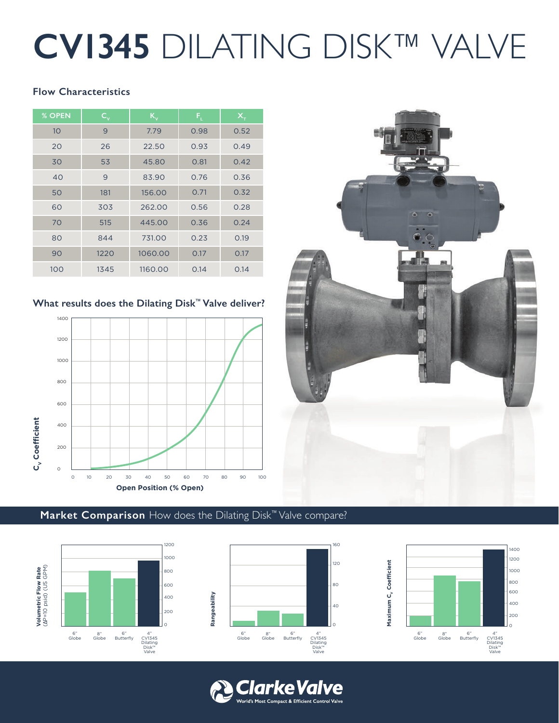# **CV1345** DILATING DISK™ VALVE

#### **Flow Characteristics**

| $%$ OPEN | $\mathsf{C}_{\mathsf{v}}$ | $K_{\rm v}$ | $\mathsf{F}_{\mathrm{t}}$ | $X_T$ |  |
|----------|---------------------------|-------------|---------------------------|-------|--|
| 10       | 9                         | 7.79        | 0.98                      | 0.52  |  |
| 20       | 26                        | 22.50       | 0.93                      | 0.49  |  |
| 30       | 53                        | 45.80       | 0.81                      | 0.42  |  |
| 40       | 9                         | 83.90       | 0.76                      | 0.36  |  |
| 50       | 181                       | 156.00      | 0.71                      | 0.32  |  |
| 60       | 303                       | 262.00      | 0.56                      | 0.28  |  |
| 70       | 515                       | 445.00      | 0.36                      | 0.24  |  |
| 80       | 844                       | 731.00      | 0.23                      | 0.19  |  |
| 90       | 1220                      | 1060.00     | 0.17                      | 0.17  |  |
| 100      | 1345                      | 1160.00     | 0.14                      | 0.14  |  |

#### **What results does the Dilating Disk™ Valve deliver?**





### **Market Comparison** How does the Dilating Disk™ Valve compare?